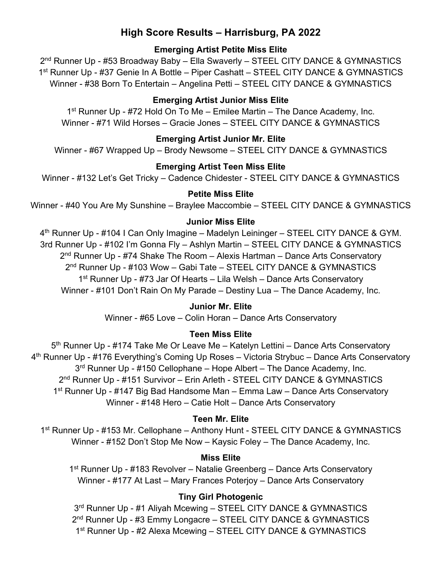# **High Score Results – Harrisburg, PA 2022**

# **Emerging Artist Petite Miss Elite**

2nd Runner Up - #53 Broadway Baby – Ella Swaverly – STEEL CITY DANCE & GYMNASTICS 1<sup>st</sup> Runner Up - #37 Genie In A Bottle – Piper Cashatt – STEEL CITY DANCE & GYMNASTICS Winner - #38 Born To Entertain – Angelina Petti – STEEL CITY DANCE & GYMNASTICS

# **Emerging Artist Junior Miss Elite**

1st Runner Up - #72 Hold On To Me – Emilee Martin – The Dance Academy, Inc. Winner - #71 Wild Horses – Gracie Jones – STEEL CITY DANCE & GYMNASTICS

# **Emerging Artist Junior Mr. Elite**

Winner - #67 Wrapped Up – Brody Newsome – STEEL CITY DANCE & GYMNASTICS

# **Emerging Artist Teen Miss Elite**

Winner - #132 Let's Get Tricky – Cadence Chidester - STEEL CITY DANCE & GYMNASTICS

### **Petite Miss Elite**

Winner - #40 You Are My Sunshine – Braylee Maccombie – STEEL CITY DANCE & GYMNASTICS

### **Junior Miss Elite**

4<sup>th</sup> Runner Up - #104 I Can Only Imagine – Madelyn Leininger – STEEL CITY DANCE & GYM. 3rd Runner Up - #102 I'm Gonna Fly – Ashlyn Martin – STEEL CITY DANCE & GYMNASTICS  $2<sup>nd</sup>$  Runner Up - #74 Shake The Room – Alexis Hartman – Dance Arts Conservatory 2<sup>nd</sup> Runner Up - #103 Wow – Gabi Tate – STEEL CITY DANCE & GYMNASTICS 1st Runner Up - #73 Jar Of Hearts – Lila Welsh – Dance Arts Conservatory Winner - #101 Don't Rain On My Parade – Destiny Lua – The Dance Academy, Inc.

### **Junior Mr. Elite**

Winner - #65 Love – Colin Horan – Dance Arts Conservatory

# **Teen Miss Elite**

5<sup>th</sup> Runner Up - #174 Take Me Or Leave Me - Katelyn Lettini - Dance Arts Conservatory 4th Runner Up - #176 Everything's Coming Up Roses – Victoria Strybuc – Dance Arts Conservatory  $3<sup>rd</sup>$  Runner Up - #150 Cellophane – Hope Albert – The Dance Academy, Inc. 2<sup>nd</sup> Runner Up - #151 Survivor - Erin Arleth - STEEL CITY DANCE & GYMNASTICS 1st Runner Up - #147 Big Bad Handsome Man – Emma Law – Dance Arts Conservatory Winner - #148 Hero – Catie Holt – Dance Arts Conservatory

# **Teen Mr. Elite**

1st Runner Up - #153 Mr. Cellophane – Anthony Hunt - STEEL CITY DANCE & GYMNASTICS Winner - #152 Don't Stop Me Now – Kaysic Foley – The Dance Academy, Inc.

# **Miss Elite**

1st Runner Up - #183 Revolver – Natalie Greenberg – Dance Arts Conservatory Winner - #177 At Last – Mary Frances Poterjoy – Dance Arts Conservatory

# **Tiny Girl Photogenic**

3rd Runner Up - #1 Aliyah Mcewing – STEEL CITY DANCE & GYMNASTICS 2<sup>nd</sup> Runner Up - #3 Emmy Longacre – STEEL CITY DANCE & GYMNASTICS 1<sup>st</sup> Runner Up - #2 Alexa Mcewing – STEEL CITY DANCE & GYMNASTICS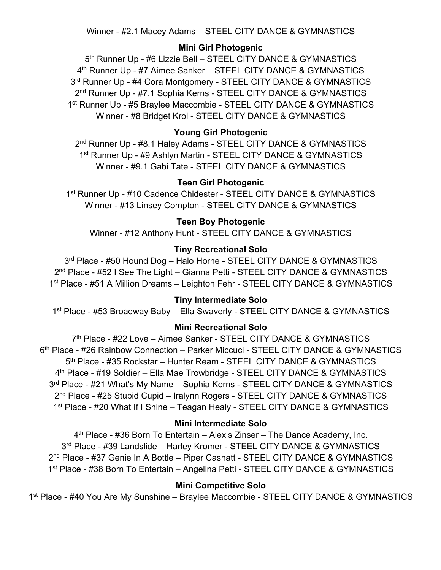Winner - #2.1 Macey Adams – STEEL CITY DANCE & GYMNASTICS

# **Mini Girl Photogenic**

5<sup>th</sup> Runner Up - #6 Lizzie Bell – STEEL CITY DANCE & GYMNASTICS 4th Runner Up - #7 Aimee Sanker – STEEL CITY DANCE & GYMNASTICS 3rd Runner Up - #4 Cora Montgomery - STEEL CITY DANCE & GYMNASTICS 2<sup>nd</sup> Runner Up - #7.1 Sophia Kerns - STEEL CITY DANCE & GYMNASTICS 1<sup>st</sup> Runner Up - #5 Braylee Maccombie - STEEL CITY DANCE & GYMNASTICS Winner - #8 Bridget Krol - STEEL CITY DANCE & GYMNASTICS

# **Young Girl Photogenic**

2<sup>nd</sup> Runner Up - #8.1 Haley Adams - STEEL CITY DANCE & GYMNASTICS 1<sup>st</sup> Runner Up - #9 Ashlyn Martin - STEEL CITY DANCE & GYMNASTICS Winner - #9.1 Gabi Tate - STEEL CITY DANCE & GYMNASTICS

### **Teen Girl Photogenic**

1<sup>st</sup> Runner Up - #10 Cadence Chidester - STEEL CITY DANCE & GYMNASTICS Winner - #13 Linsey Compton - STEEL CITY DANCE & GYMNASTICS

### **Teen Boy Photogenic**

Winner - #12 Anthony Hunt - STEEL CITY DANCE & GYMNASTICS

#### **Tiny Recreational Solo**

3rd Place - #50 Hound Dog - Halo Horne - STEEL CITY DANCE & GYMNASTICS 2<sup>nd</sup> Place - #52 I See The Light – Gianna Petti - STEEL CITY DANCE & GYMNASTICS 1<sup>st</sup> Place - #51 A Million Dreams – Leighton Fehr - STEEL CITY DANCE & GYMNASTICS

### **Tiny Intermediate Solo**

1<sup>st</sup> Place - #53 Broadway Baby - Ella Swaverly - STEEL CITY DANCE & GYMNASTICS

#### **Mini Recreational Solo**

7<sup>th</sup> Place - #22 Love – Aimee Sanker - STEEL CITY DANCE & GYMNASTICS 6th Place - #26 Rainbow Connection – Parker Miccuci - STEEL CITY DANCE & GYMNASTICS 5<sup>th</sup> Place - #35 Rockstar – Hunter Ream - STEEL CITY DANCE & GYMNASTICS 4th Place - #19 Soldier – Ella Mae Trowbridge - STEEL CITY DANCE & GYMNASTICS 3<sup>rd</sup> Place - #21 What's My Name – Sophia Kerns - STEEL CITY DANCE & GYMNASTICS 2<sup>nd</sup> Place - #25 Stupid Cupid – Iralynn Rogers - STEEL CITY DANCE & GYMNASTICS 1<sup>st</sup> Place - #20 What If I Shine – Teagan Healy - STEEL CITY DANCE & GYMNASTICS

#### **Mini Intermediate Solo**

4th Place - #36 Born To Entertain – Alexis Zinser – The Dance Academy, Inc. 3rd Place - #39 Landslide – Harley Kromer - STEEL CITY DANCE & GYMNASTICS 2nd Place - #37 Genie In A Bottle – Piper Cashatt - STEEL CITY DANCE & GYMNASTICS 1<sup>st</sup> Place - #38 Born To Entertain – Angelina Petti - STEEL CITY DANCE & GYMNASTICS

#### **Mini Competitive Solo**

1<sup>st</sup> Place - #40 You Are My Sunshine – Braylee Maccombie - STEEL CITY DANCE & GYMNASTICS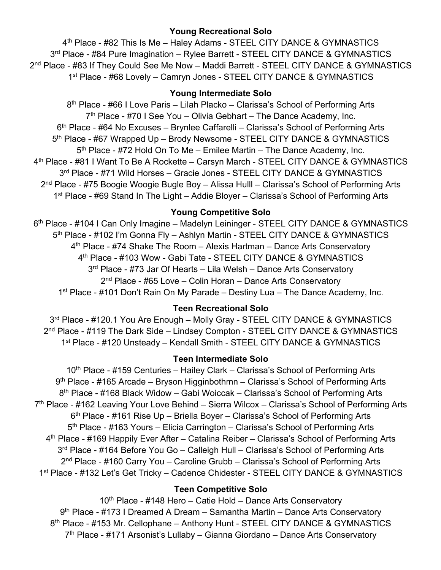### **Young Recreational Solo**

4<sup>th</sup> Place - #82 This Is Me – Haley Adams - STEEL CITY DANCE & GYMNASTICS 3<sup>rd</sup> Place - #84 Pure Imagination – Rylee Barrett - STEEL CITY DANCE & GYMNASTICS 2<sup>nd</sup> Place - #83 If They Could See Me Now – Maddi Barrett - STEEL CITY DANCE & GYMNASTICS 1st Place - #68 Lovely – Camryn Jones - STEEL CITY DANCE & GYMNASTICS

### **Young Intermediate Solo**

8th Place - #66 I Love Paris – Lilah Placko – Clarissa's School of Performing Arts  $7<sup>th</sup>$  Place - #70 I See You – Olivia Gebhart – The Dance Academy, Inc. 6th Place - #64 No Excuses – Brynlee Caffarelli – Clarissa's School of Performing Arts 5<sup>th</sup> Place - #67 Wrapped Up – Brody Newsome - STEEL CITY DANCE & GYMNASTICS 5<sup>th</sup> Place - #72 Hold On To Me – Emilee Martin – The Dance Academy, Inc. 4<sup>th</sup> Place - #81 I Want To Be A Rockette – Carsyn March - STEEL CITY DANCE & GYMNASTICS 3rd Place - #71 Wild Horses - Gracie Jones - STEEL CITY DANCE & GYMNASTICS 2<sup>nd</sup> Place - #75 Boogie Woogie Bugle Boy – Alissa Hulll – Clarissa's School of Performing Arts 1<sup>st</sup> Place - #69 Stand In The Light – Addie Bloyer – Clarissa's School of Performing Arts

### **Young Competitive Solo**

6<sup>th</sup> Place - #104 I Can Only Imagine – Madelyn Leininger - STEEL CITY DANCE & GYMNASTICS 5<sup>th</sup> Place - #102 I'm Gonna Fly - Ashlyn Martin - STEEL CITY DANCE & GYMNASTICS 4th Place - #74 Shake The Room – Alexis Hartman – Dance Arts Conservatory 4th Place - #103 Wow - Gabi Tate - STEEL CITY DANCE & GYMNASTICS 3<sup>rd</sup> Place - #73 Jar Of Hearts – Lila Welsh – Dance Arts Conservatory 2<sup>nd</sup> Place - #65 Love – Colin Horan – Dance Arts Conservatory 1<sup>st</sup> Place - #101 Don't Rain On My Parade – Destiny Lua – The Dance Academy, Inc.

### **Teen Recreational Solo**

3rd Place - #120.1 You Are Enough – Molly Gray - STEEL CITY DANCE & GYMNASTICS 2<sup>nd</sup> Place - #119 The Dark Side – Lindsey Compton - STEEL CITY DANCE & GYMNASTICS 1st Place - #120 Unsteady – Kendall Smith - STEEL CITY DANCE & GYMNASTICS

### **Teen Intermediate Solo**

10<sup>th</sup> Place - #159 Centuries – Hailey Clark – Clarissa's School of Performing Arts 9th Place - #165 Arcade – Bryson Higginbothmn – Clarissa's School of Performing Arts 8th Place - #168 Black Widow – Gabi Woiccak – Clarissa's School of Performing Arts 7th Place - #162 Leaving Your Love Behind – Sierra Wilcox – Clarissa's School of Performing Arts  $6<sup>th</sup>$  Place - #161 Rise Up – Briella Boyer – Clarissa's School of Performing Arts 5<sup>th</sup> Place - #163 Yours – Elicia Carrington – Clarissa's School of Performing Arts 4th Place - #169 Happily Ever After – Catalina Reiber – Clarissa's School of Performing Arts 3<sup>rd</sup> Place - #164 Before You Go – Calleigh Hull – Clarissa's School of Performing Arts 2nd Place - #160 Carry You – Caroline Grubb – Clarissa's School of Performing Arts 1<sup>st</sup> Place - #132 Let's Get Tricky – Cadence Chidester - STEEL CITY DANCE & GYMNASTICS

### **Teen Competitive Solo**

 $10<sup>th</sup>$  Place - #148 Hero – Catie Hold – Dance Arts Conservatory 9th Place - #173 I Dreamed A Dream – Samantha Martin – Dance Arts Conservatory 8<sup>th</sup> Place - #153 Mr. Cellophane – Anthony Hunt - STEEL CITY DANCE & GYMNASTICS 7<sup>th</sup> Place - #171 Arsonist's Lullaby – Gianna Giordano – Dance Arts Conservatory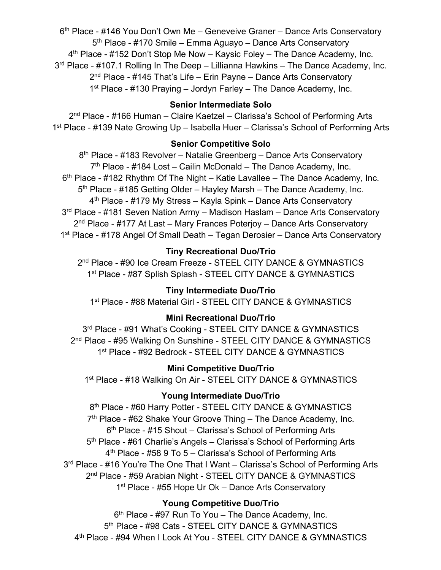6th Place - #146 You Don't Own Me – Geneveive Graner – Dance Arts Conservatory 5<sup>th</sup> Place - #170 Smile – Emma Aguayo – Dance Arts Conservatory 4<sup>th</sup> Place - #152 Don't Stop Me Now – Kaysic Foley – The Dance Academy, Inc.  $3<sup>rd</sup>$  Place - #107.1 Rolling In The Deep – Lillianna Hawkins – The Dance Academy, Inc. 2<sup>nd</sup> Place - #145 That's Life – Erin Payne – Dance Arts Conservatory 1st Place - #130 Praying – Jordyn Farley – The Dance Academy, Inc.

### **Senior Intermediate Solo**

2nd Place - #166 Human – Claire Kaetzel – Clarissa's School of Performing Arts 1<sup>st</sup> Place - #139 Nate Growing Up – Isabella Huer – Clarissa's School of Performing Arts

### **Senior Competitive Solo**

8th Place - #183 Revolver – Natalie Greenberg – Dance Arts Conservatory  $7<sup>th</sup>$  Place - #184 Lost – Cailin McDonald – The Dance Academy, Inc.  $6<sup>th</sup>$  Place - #182 Rhythm Of The Night – Katie Lavallee – The Dance Academy, Inc. 5<sup>th</sup> Place - #185 Getting Older – Hayley Marsh – The Dance Academy, Inc. 4th Place - #179 My Stress – Kayla Spink – Dance Arts Conservatory 3<sup>rd</sup> Place - #181 Seven Nation Army – Madison Haslam – Dance Arts Conservatory 2<sup>nd</sup> Place - #177 At Last – Mary Frances Poterjoy – Dance Arts Conservatory 1<sup>st</sup> Place - #178 Angel Of Small Death – Tegan Derosier – Dance Arts Conservatory

# **Tiny Recreational Duo/Trio**

2<sup>nd</sup> Place - #90 Ice Cream Freeze - STEEL CITY DANCE & GYMNASTICS 1<sup>st</sup> Place - #87 Splish Splash - STEEL CITY DANCE & GYMNASTICS

# **Tiny Intermediate Duo/Trio**

1<sup>st</sup> Place - #88 Material Girl - STEEL CITY DANCE & GYMNASTICS

# **Mini Recreational Duo/Trio**

3rd Place - #91 What's Cooking - STEEL CITY DANCE & GYMNASTICS 2<sup>nd</sup> Place - #95 Walking On Sunshine - STEEL CITY DANCE & GYMNASTICS 1st Place - #92 Bedrock - STEEL CITY DANCE & GYMNASTICS

# **Mini Competitive Duo/Trio**

1<sup>st</sup> Place - #18 Walking On Air - STEEL CITY DANCE & GYMNASTICS

# **Young Intermediate Duo/Trio**

8<sup>th</sup> Place - #60 Harry Potter - STEEL CITY DANCE & GYMNASTICS  $7<sup>th</sup>$  Place - #62 Shake Your Groove Thing – The Dance Academy, Inc.  $6<sup>th</sup>$  Place - #15 Shout – Clarissa's School of Performing Arts 5th Place - #61 Charlie's Angels – Clarissa's School of Performing Arts  $4<sup>th</sup>$  Place - #58 9 To 5 – Clarissa's School of Performing Arts 3<sup>rd</sup> Place - #16 You're The One That I Want – Clarissa's School of Performing Arts 2<sup>nd</sup> Place - #59 Arabian Night - STEEL CITY DANCE & GYMNASTICS 1<sup>st</sup> Place - #55 Hope Ur Ok – Dance Arts Conservatory

# **Young Competitive Duo/Trio**

 $6<sup>th</sup>$  Place - #97 Run To You – The Dance Academy, Inc. 5<sup>th</sup> Place - #98 Cats - STEEL CITY DANCE & GYMNASTICS 4th Place - #94 When I Look At You - STEEL CITY DANCE & GYMNASTICS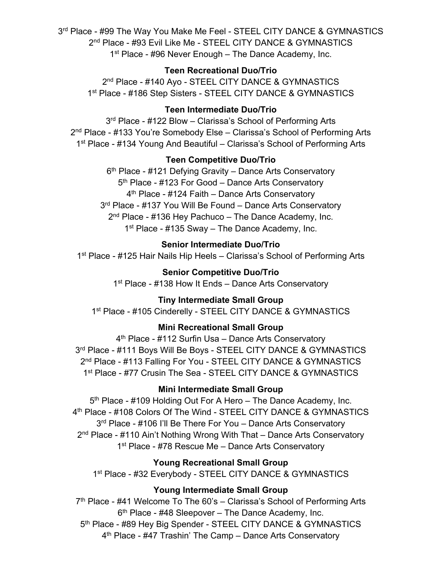3rd Place - #99 The Way You Make Me Feel - STEEL CITY DANCE & GYMNASTICS 2<sup>nd</sup> Place - #93 Evil Like Me - STEEL CITY DANCE & GYMNASTICS 1<sup>st</sup> Place - #96 Never Enough – The Dance Academy, Inc.

### **Teen Recreational Duo/Trio**

2<sup>nd</sup> Place - #140 Avo - STEEL CITY DANCE & GYMNASTICS 1<sup>st</sup> Place - #186 Step Sisters - STEEL CITY DANCE & GYMNASTICS

# **Teen Intermediate Duo/Trio**

3<sup>rd</sup> Place - #122 Blow - Clarissa's School of Performing Arts 2<sup>nd</sup> Place - #133 You're Somebody Else – Clarissa's School of Performing Arts 1<sup>st</sup> Place - #134 Young And Beautiful – Clarissa's School of Performing Arts

### **Teen Competitive Duo/Trio**

6<sup>th</sup> Place - #121 Defying Gravity – Dance Arts Conservatory 5th Place - #123 For Good – Dance Arts Conservatory 4<sup>th</sup> Place - #124 Faith – Dance Arts Conservatory 3<sup>rd</sup> Place - #137 You Will Be Found – Dance Arts Conservatory  $2<sup>nd</sup>$  Place - #136 Hey Pachuco – The Dance Academy, Inc. 1<sup>st</sup> Place - #135 Sway – The Dance Academy, Inc.

### **Senior Intermediate Duo/Trio**

1<sup>st</sup> Place - #125 Hair Nails Hip Heels – Clarissa's School of Performing Arts

**Senior Competitive Duo/Trio** 1<sup>st</sup> Place - #138 How It Ends – Dance Arts Conservatory

### **Tiny Intermediate Small Group**

1<sup>st</sup> Place - #105 Cinderelly - STEEL CITY DANCE & GYMNASTICS

### **Mini Recreational Small Group**

4th Place - #112 Surfin Usa – Dance Arts Conservatory 3rd Place - #111 Boys Will Be Boys - STEEL CITY DANCE & GYMNASTICS 2<sup>nd</sup> Place - #113 Falling For You - STEEL CITY DANCE & GYMNASTICS 1<sup>st</sup> Place - #77 Crusin The Sea - STEEL CITY DANCE & GYMNASTICS

### **Mini Intermediate Small Group**

5<sup>th</sup> Place - #109 Holding Out For A Hero – The Dance Academy, Inc. 4<sup>th</sup> Place - #108 Colors Of The Wind - STEEL CITY DANCE & GYMNASTICS 3<sup>rd</sup> Place - #106 I'll Be There For You – Dance Arts Conservatory 2<sup>nd</sup> Place - #110 Ain't Nothing Wrong With That – Dance Arts Conservatory 1<sup>st</sup> Place - #78 Rescue Me – Dance Arts Conservatory

### **Young Recreational Small Group**

1<sup>st</sup> Place - #32 Everybody - STEEL CITY DANCE & GYMNASTICS

### **Young Intermediate Small Group**

7<sup>th</sup> Place - #41 Welcome To The 60's - Clarissa's School of Performing Arts  $6<sup>th</sup>$  Place - #48 Sleepover – The Dance Academy, Inc. 5<sup>th</sup> Place - #89 Hey Big Spender - STEEL CITY DANCE & GYMNASTICS 4th Place - #47 Trashin' The Camp – Dance Arts Conservatory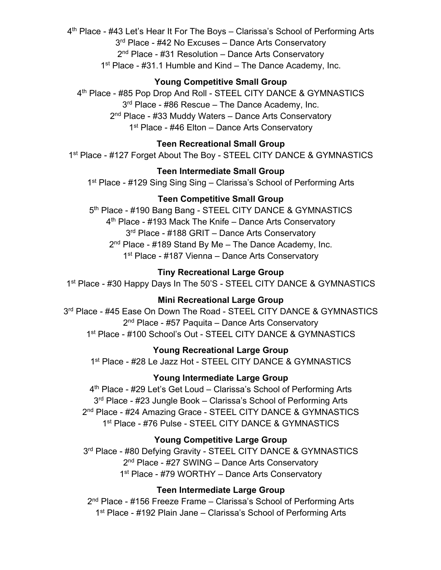4th Place - #43 Let's Hear It For The Boys – Clarissa's School of Performing Arts 3<sup>rd</sup> Place - #42 No Excuses – Dance Arts Conservatory 2<sup>nd</sup> Place - #31 Resolution – Dance Arts Conservatory 1<sup>st</sup> Place - #31.1 Humble and Kind – The Dance Academy, Inc.

### **Young Competitive Small Group**

4<sup>th</sup> Place - #85 Pop Drop And Roll - STEEL CITY DANCE & GYMNASTICS 3<sup>rd</sup> Place - #86 Rescue – The Dance Academy, Inc. 2<sup>nd</sup> Place - #33 Muddy Waters – Dance Arts Conservatory 1<sup>st</sup> Place - #46 Elton – Dance Arts Conservatory

# **Teen Recreational Small Group**

1<sup>st</sup> Place - #127 Forget About The Boy - STEEL CITY DANCE & GYMNASTICS

### **Teen Intermediate Small Group**

1<sup>st</sup> Place - #129 Sing Sing Sing – Clarissa's School of Performing Arts

# **Teen Competitive Small Group**

5<sup>th</sup> Place - #190 Bang Bang - STEEL CITY DANCE & GYMNASTICS 4<sup>th</sup> Place - #193 Mack The Knife – Dance Arts Conservatory 3<sup>rd</sup> Place - #188 GRIT – Dance Arts Conservatory  $2<sup>nd</sup>$  Place - #189 Stand By Me – The Dance Academy, Inc. 1<sup>st</sup> Place - #187 Vienna – Dance Arts Conservatory

### **Tiny Recreational Large Group**

1<sup>st</sup> Place - #30 Happy Days In The 50'S - STEEL CITY DANCE & GYMNASTICS

# **Mini Recreational Large Group**

3rd Place - #45 Ease On Down The Road - STEEL CITY DANCE & GYMNASTICS 2<sup>nd</sup> Place - #57 Paquita – Dance Arts Conservatory 1<sup>st</sup> Place - #100 School's Out - STEEL CITY DANCE & GYMNASTICS

# **Young Recreational Large Group**

1<sup>st</sup> Place - #28 Le Jazz Hot - STEEL CITY DANCE & GYMNASTICS

# **Young Intermediate Large Group**

4th Place - #29 Let's Get Loud – Clarissa's School of Performing Arts 3<sup>rd</sup> Place - #23 Jungle Book – Clarissa's School of Performing Arts 2<sup>nd</sup> Place - #24 Amazing Grace - STEEL CITY DANCE & GYMNASTICS 1st Place - #76 Pulse - STEEL CITY DANCE & GYMNASTICS

# **Young Competitive Large Group**

3rd Place - #80 Defying Gravity - STEEL CITY DANCE & GYMNASTICS 2<sup>nd</sup> Place - #27 SWING – Dance Arts Conservatory 1<sup>st</sup> Place - #79 WORTHY – Dance Arts Conservatory

### **Teen Intermediate Large Group**

2<sup>nd</sup> Place - #156 Freeze Frame – Clarissa's School of Performing Arts 1<sup>st</sup> Place - #192 Plain Jane – Clarissa's School of Performing Arts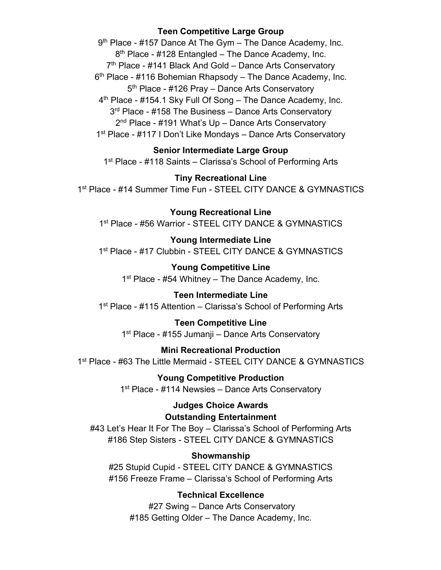### **Teen Competitive Large Group**

9<sup>th</sup> Place - #157 Dance At The Gym - The Dance Academy, Inc.  $8<sup>th</sup>$  Place - #128 Entangled – The Dance Academy, Inc.  $7<sup>th</sup>$  Place - #141 Black And Gold – Dance Arts Conservatory  $6<sup>th</sup>$  Place - #116 Bohemian Rhapsody – The Dance Academy, Inc. 5<sup>th</sup> Place - #126 Pray – Dance Arts Conservatory  $4<sup>th</sup>$  Place - #154.1 Sky Full Of Song – The Dance Academy, Inc. 3<sup>rd</sup> Place - #158 The Business – Dance Arts Conservatory 2<sup>nd</sup> Place - #191 What's Up – Dance Arts Conservatory 1st Place - #117 I Don't Like Mondays – Dance Arts Conservatory

# **Senior Intermediate Large Group**

1<sup>st</sup> Place - #118 Saints – Clarissa's School of Performing Arts

#### **Tiny Recreational Line**

1st Place - #14 Summer Time Fun - STEEL CITY DANCE & GYMNASTICS

**Young Recreational Line** 1<sup>st</sup> Place - #56 Warrior - STEEL CITY DANCE & GYMNASTICS

**Young Intermediate Line** 1<sup>st</sup> Place - #17 Clubbin - STEEL CITY DANCE & GYMNASTICS

**Young Competitive Line**  $1<sup>st</sup>$  Place - #54 Whitney – The Dance Academy, Inc.

**Teen Intermediate Line** 1<sup>st</sup> Place - #115 Attention – Clarissa's School of Performing Arts

**Teen Competitive Line** 1<sup>st</sup> Place - #155 Jumanji – Dance Arts Conservatory

# **Mini Recreational Production**

1<sup>st</sup> Place - #63 The Little Mermaid - STEEL CITY DANCE & GYMNASTICS

**Young Competitive Production** 1<sup>st</sup> Place - #114 Newsies – Dance Arts Conservatory

> **Judges Choice Awards Outstanding Entertainment**

#43 Let's Hear It For The Boy – Clarissa's School of Performing Arts #186 Step Sisters - STEEL CITY DANCE & GYMNASTICS

### **Showmanship**

#25 Stupid Cupid - STEEL CITY DANCE & GYMNASTICS #156 Freeze Frame – Clarissa's School of Performing Arts

### **Technical Excellence**

#27 Swing – Dance Arts Conservatory #185 Getting Older – The Dance Academy, Inc.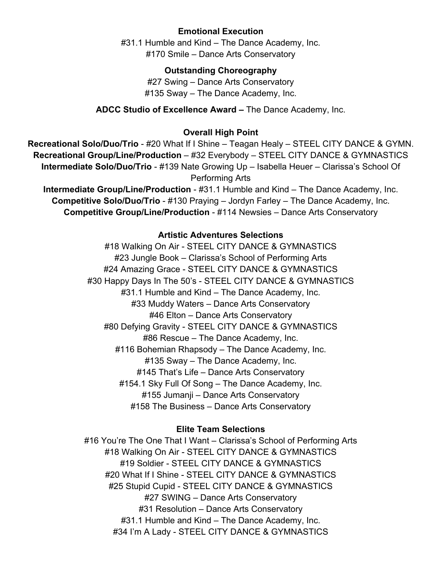### **Emotional Execution**

#31.1 Humble and Kind – The Dance Academy, Inc. #170 Smile – Dance Arts Conservatory

### **Outstanding Choreography**

#27 Swing – Dance Arts Conservatory #135 Sway – The Dance Academy, Inc.

**ADCC Studio of Excellence Award –** The Dance Academy, Inc.

### **Overall High Point**

**Recreational Solo/Duo/Trio** - #20 What If I Shine – Teagan Healy – STEEL CITY DANCE & GYMN. **Recreational Group/Line/Production** – #32 Everybody – STEEL CITY DANCE & GYMNASTICS **Intermediate Solo/Duo/Trio** - #139 Nate Growing Up – Isabella Heuer – Clarissa's School Of Performing Arts

**Intermediate Group/Line/Production - #31.1 Humble and Kind - The Dance Academy, Inc. Competitive Solo/Duo/Trio** - #130 Praying – Jordyn Farley – The Dance Academy, Inc. **Competitive Group/Line/Production** - #114 Newsies – Dance Arts Conservatory

### **Artistic Adventures Selections**

#18 Walking On Air - STEEL CITY DANCE & GYMNASTICS #23 Jungle Book – Clarissa's School of Performing Arts #24 Amazing Grace - STEEL CITY DANCE & GYMNASTICS #30 Happy Days In The 50's - STEEL CITY DANCE & GYMNASTICS #31.1 Humble and Kind – The Dance Academy, Inc. #33 Muddy Waters – Dance Arts Conservatory #46 Elton – Dance Arts Conservatory #80 Defying Gravity - STEEL CITY DANCE & GYMNASTICS #86 Rescue – The Dance Academy, Inc. #116 Bohemian Rhapsody – The Dance Academy, Inc. #135 Sway – The Dance Academy, Inc. #145 That's Life – Dance Arts Conservatory #154.1 Sky Full Of Song – The Dance Academy, Inc. #155 Jumanji – Dance Arts Conservatory #158 The Business – Dance Arts Conservatory

### **Elite Team Selections**

#16 You're The One That I Want – Clarissa's School of Performing Arts #18 Walking On Air - STEEL CITY DANCE & GYMNASTICS #19 Soldier - STEEL CITY DANCE & GYMNASTICS #20 What If I Shine - STEEL CITY DANCE & GYMNASTICS #25 Stupid Cupid - STEEL CITY DANCE & GYMNASTICS #27 SWING – Dance Arts Conservatory #31 Resolution – Dance Arts Conservatory #31.1 Humble and Kind – The Dance Academy, Inc. #34 I'm A Lady - STEEL CITY DANCE & GYMNASTICS